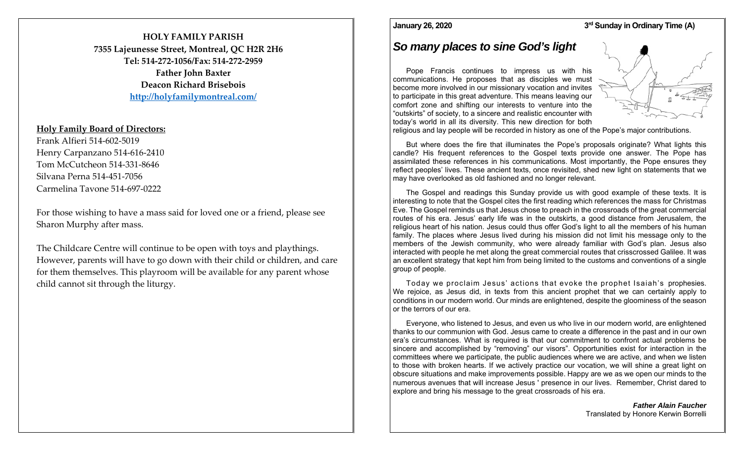# **HOLY FAMILY PARISH7355 Lajeunesse Street, Montreal, QC H2R 2H6 Tel: 514‐272‐1056/Fax: 514‐272‐2959Father John Baxter Deacon Richard Brisebois**

**http://holyfamilymontreal.com/**

### **Holy Family Board of Directors:**

Frank Alfieri 514‐602‐5019 Henry Carpanzano 514‐616‐2410 Tom McCutcheon 514‐331‐8646 Silvana Perna 514‐451‐7056 Carmelina Tavone 514‐697‐0222

For those wishing to have a mass said for loved one or a friend, please see Sharon Murphy after mass.

The Childcare Centre will continue to be open with toys and playthings. However, parents will have to go down with their child or children, and care for them themselves. This playroom will be available for any paren<sup>t</sup> whose child cannot sit through the liturgy.

#### **January 26, 2020**

#### **3rd Sunday in Ordinary Time (A)**

# *So many places to sine God's light*

Pope Francis continues to impress us with his communications. He proposes that as disciples we must become more involved in our missionary vocation and invites to participate in this great adventure. This means leaving our comfort zone and shifting our interests to venture into the "outskirts" of society, to a sincere and realistic encounter with today's world in all its diversity. This new direction for both



religious and lay people will be recorded in history as one of the Pope's major contributions.

But where does the fire that illuminates the Pope's proposals originate? What lights this candle? His frequent references to the Gospel texts provide one answer. The Pope has assimilated these references in his communications. Most importantly, the Pope ensures they reflect peoples' lives. These ancient texts, once revisited, shed new light on statements that we may have overlooked as old fashioned and no longer relevant.

The Gospel and readings this Sunday provide us with good example of these texts. It is interesting to note that the Gospel cites the first reading which references the mass for Christmas Eve. The Gospel reminds us that Jesus chose to preach in the crossroads of the great commercial routes of his era. Jesus' early life was in the outskirts, a good distance from Jerusalem, the religious heart of his nation. Jesus could thus offer God's light to all the members of his human family. The places where Jesus lived during his mission did not limit his message only to the members of the Jewish community, who were already familiar with God's plan. Jesus also interacted with people he met along the great commercial routes that crisscrossed Galilee. It was an excellent strategy that kept him from being limited to the customs and conventions of a single group of people.

Today we proclaim Jesus' actions that evoke the prophet Isaiah's prophesies. We rejoice, as Jesus did, in texts from this ancient prophet that we can certainly apply to conditions in our modern world. Our minds are enlightened, despite the gloominess of the season or the terrors of our era.

Everyone, who listened to Jesus, and even us who live in our modern world, are enlightened thanks to our communion with God. Jesus came to create a difference in the past and in our own era's circumstances. What is required is that our commitment to confront actual problems be sincere and accomplished by "removing" our visors". Opportunities exist for interaction in the committees where we participate, the public audiences where we are active, and when we listen to those with broken hearts. If we actively practice our vocation, we will shine a great light on obscure situations and make improvements possible. Happy are we as we open our minds to the numerous avenues that will increase Jesus ' presence in our lives. Remember, Christ dared to explore and bring his message to the great crossroads of his era.

> *Father Alain Faucher*Translated by Honore Kerwin Borrelli